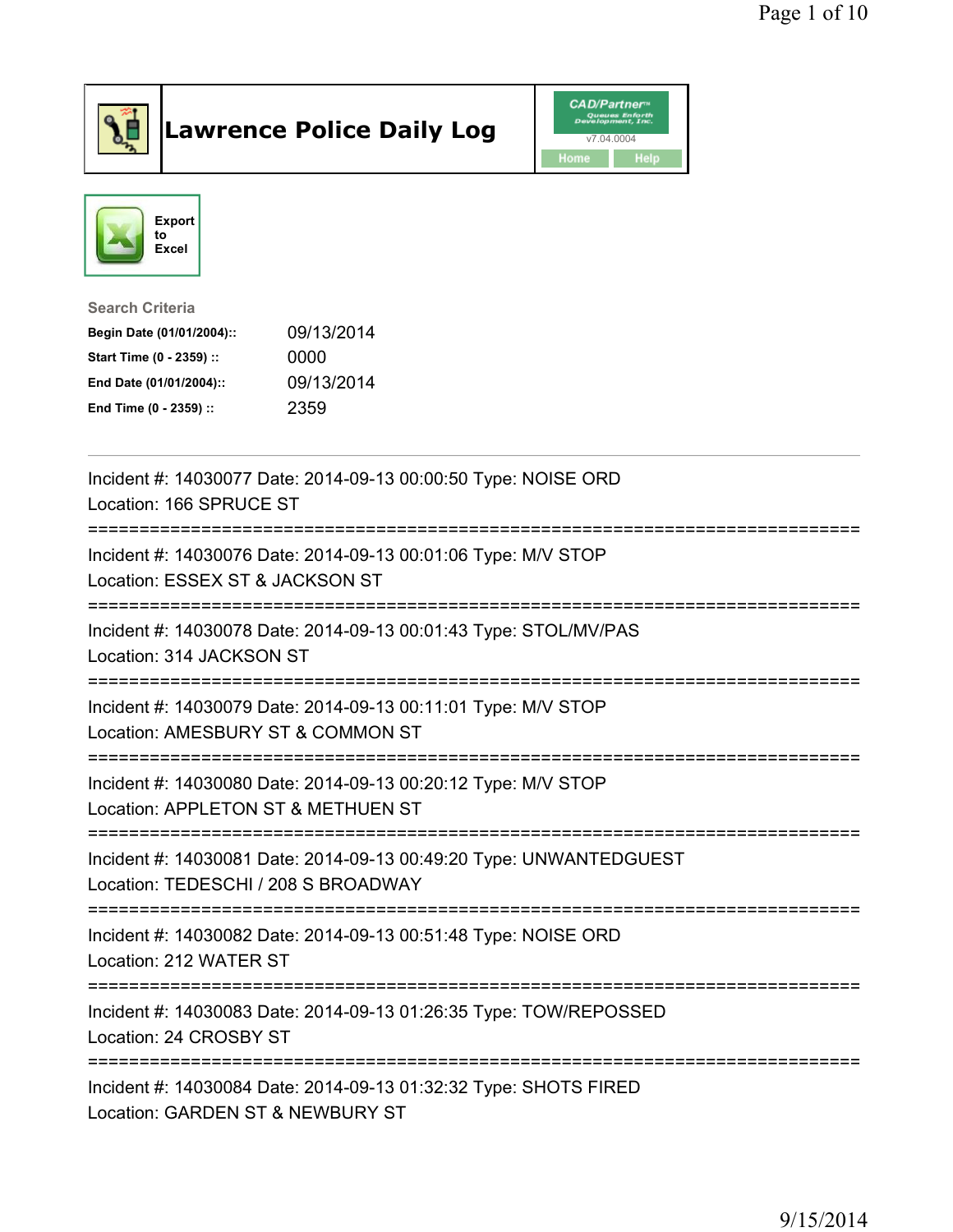

## Lawrence Police Daily Log **Daniel CAD/Partner**





Search Criteria Begin Date (01/01/2004):: 09/13/2014 Start Time (0 - 2359) :: 0000 End Date (01/01/2004):: 09/13/2014 End Time (0 - 2359) :: 2359

| Incident #: 14030077 Date: 2014-09-13 00:00:50 Type: NOISE ORD<br>Location: 166 SPRUCE ST                                   |
|-----------------------------------------------------------------------------------------------------------------------------|
| Incident #: 14030076 Date: 2014-09-13 00:01:06 Type: M/V STOP<br>Location: ESSEX ST & JACKSON ST<br>;====================== |
| Incident #: 14030078 Date: 2014-09-13 00:01:43 Type: STOL/MV/PAS<br>Location: 314 JACKSON ST                                |
| Incident #: 14030079 Date: 2014-09-13 00:11:01 Type: M/V STOP<br>Location: AMESBURY ST & COMMON ST                          |
| Incident #: 14030080 Date: 2014-09-13 00:20:12 Type: M/V STOP<br>Location: APPLETON ST & METHUEN ST                         |
| Incident #: 14030081 Date: 2014-09-13 00:49:20 Type: UNWANTEDGUEST<br>Location: TEDESCHI / 208 S BROADWAY                   |
| Incident #: 14030082 Date: 2014-09-13 00:51:48 Type: NOISE ORD<br>Location: 212 WATER ST                                    |
| Incident #: 14030083 Date: 2014-09-13 01:26:35 Type: TOW/REPOSSED<br>Location: 24 CROSBY ST                                 |
| Incident #: 14030084 Date: 2014-09-13 01:32:32 Type: SHOTS FIRED<br>Location: GARDEN ST & NEWBURY ST                        |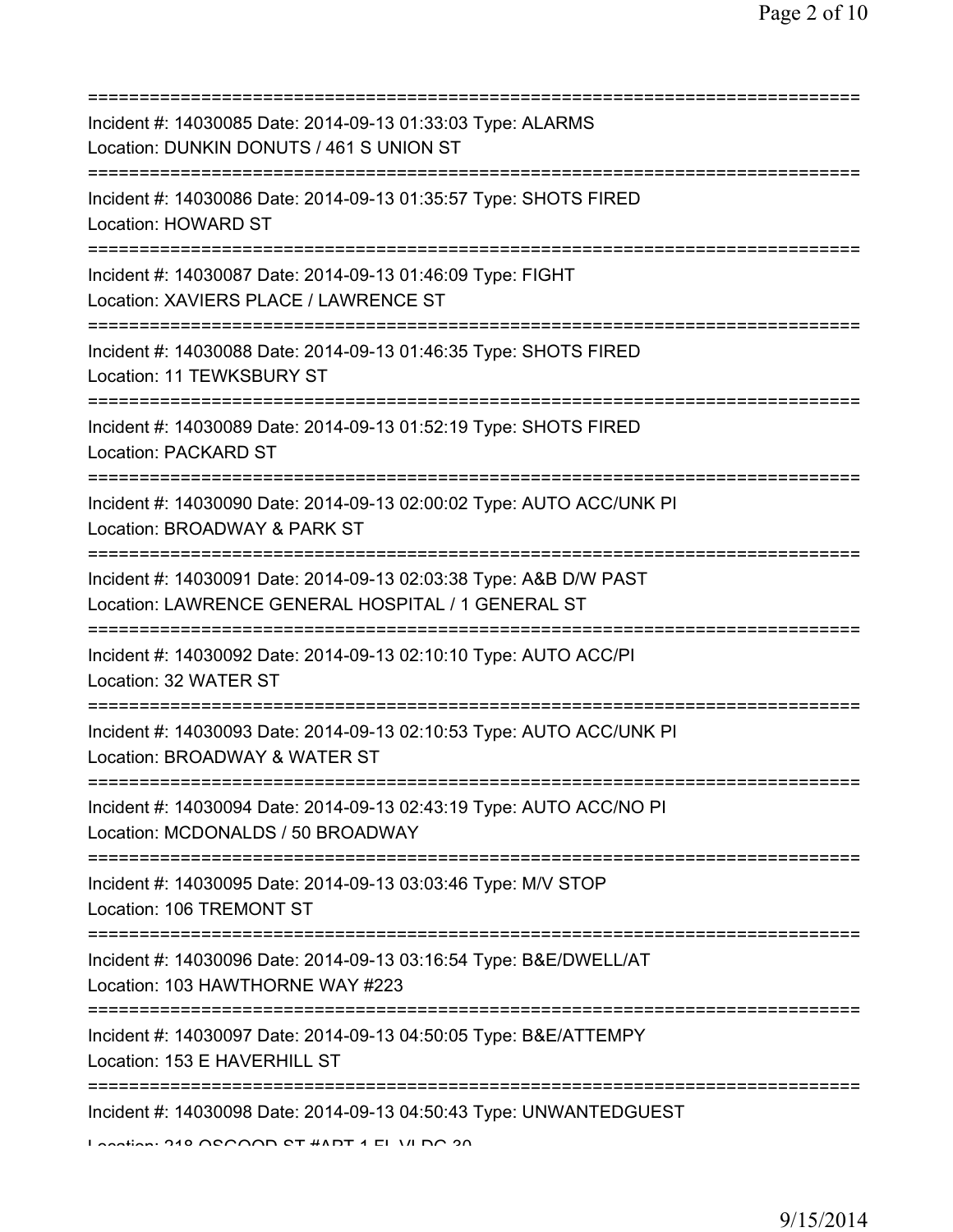| Incident #: 14030085 Date: 2014-09-13 01:33:03 Type: ALARMS<br>Location: DUNKIN DONUTS / 461 S UNION ST                                                                                                                                      |
|----------------------------------------------------------------------------------------------------------------------------------------------------------------------------------------------------------------------------------------------|
| Incident #: 14030086 Date: 2014-09-13 01:35:57 Type: SHOTS FIRED<br>Location: HOWARD ST                                                                                                                                                      |
| Incident #: 14030087 Date: 2014-09-13 01:46:09 Type: FIGHT<br>Location: XAVIERS PLACE / LAWRENCE ST                                                                                                                                          |
| Incident #: 14030088 Date: 2014-09-13 01:46:35 Type: SHOTS FIRED<br>Location: 11 TEWKSBURY ST                                                                                                                                                |
| Incident #: 14030089 Date: 2014-09-13 01:52:19 Type: SHOTS FIRED<br>Location: PACKARD ST                                                                                                                                                     |
| Incident #: 14030090 Date: 2014-09-13 02:00:02 Type: AUTO ACC/UNK PI<br>Location: BROADWAY & PARK ST<br>====================================                                                                                                 |
| Incident #: 14030091 Date: 2014-09-13 02:03:38 Type: A&B D/W PAST<br>Location: LAWRENCE GENERAL HOSPITAL / 1 GENERAL ST<br>===================                                                                                               |
| Incident #: 14030092 Date: 2014-09-13 02:10:10 Type: AUTO ACC/PI<br>Location: 32 WATER ST<br>==========================                                                                                                                      |
| Incident #: 14030093 Date: 2014-09-13 02:10:53 Type: AUTO ACC/UNK PI<br>Location: BROADWAY & WATER ST                                                                                                                                        |
| Incident #: 14030094 Date: 2014-09-13 02:43:19 Type: AUTO ACC/NO PI<br>Location: MCDONALDS / 50 BROADWAY                                                                                                                                     |
| Incident #: 14030095 Date: 2014-09-13 03:03:46 Type: M/V STOP<br>Location: 106 TREMONT ST                                                                                                                                                    |
| Incident #: 14030096 Date: 2014-09-13 03:16:54 Type: B&E/DWELL/AT<br>Location: 103 HAWTHORNE WAY #223                                                                                                                                        |
| Incident #: 14030097 Date: 2014-09-13 04:50:05 Type: B&E/ATTEMPY<br>Location: 153 E HAVERHILL ST                                                                                                                                             |
| Incident #: 14030098 Date: 2014-09-13 04:50:43 Type: UNWANTEDGUEST<br>$\overline{1}$ and $\overline{1}$ and $\overline{1}$ and $\overline{1}$ and $\overline{1}$ and $\overline{1}$ and $\overline{1}$ and $\overline{1}$ and $\overline{1}$ |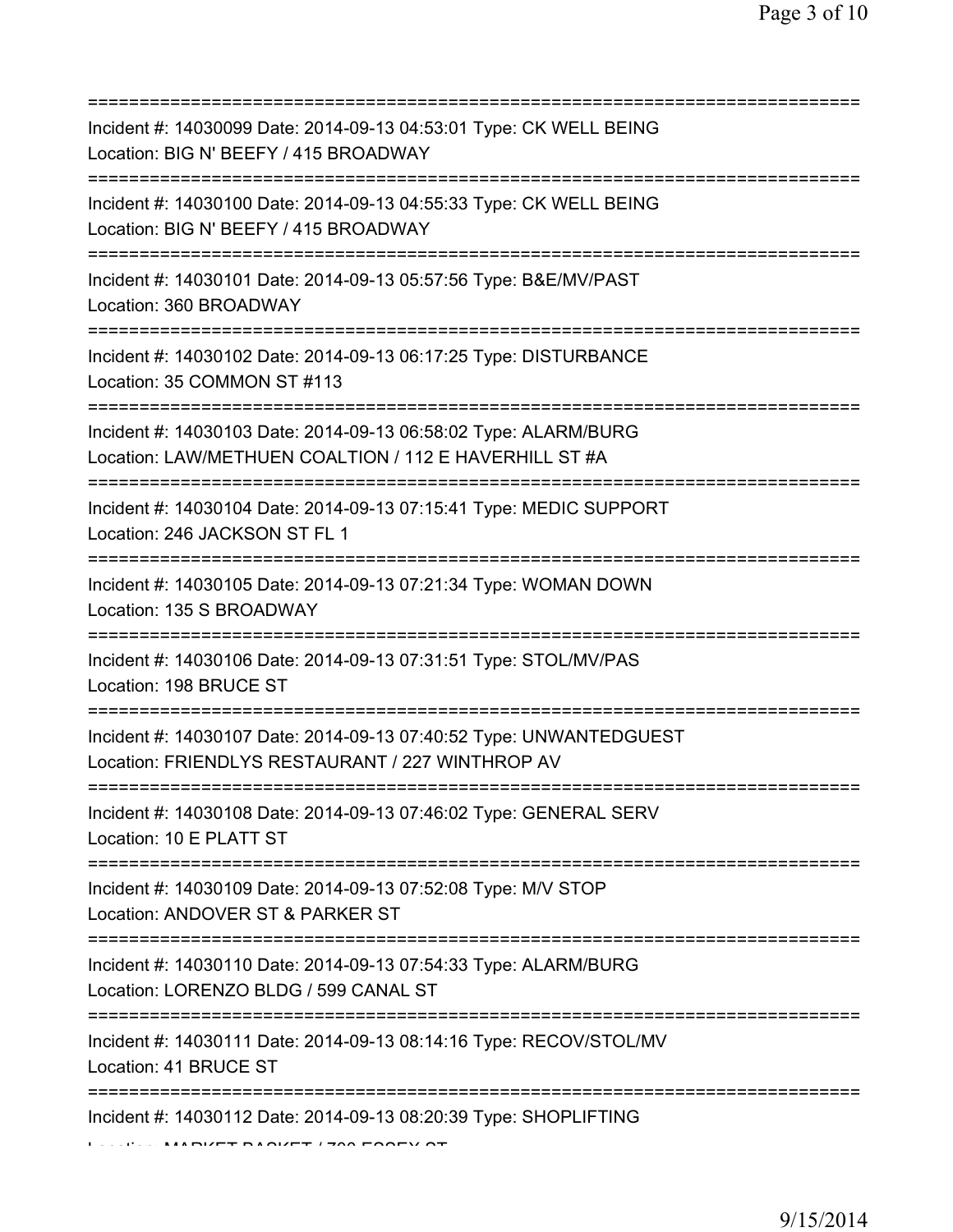| Incident #: 14030099 Date: 2014-09-13 04:53:01 Type: CK WELL BEING<br>Location: BIG N' BEEFY / 415 BROADWAY                             |
|-----------------------------------------------------------------------------------------------------------------------------------------|
| ========================<br>Incident #: 14030100 Date: 2014-09-13 04:55:33 Type: CK WELL BEING<br>Location: BIG N' BEEFY / 415 BROADWAY |
| Incident #: 14030101 Date: 2014-09-13 05:57:56 Type: B&E/MV/PAST<br>Location: 360 BROADWAY<br>=====================================     |
| Incident #: 14030102 Date: 2014-09-13 06:17:25 Type: DISTURBANCE<br>Location: 35 COMMON ST #113<br>==================================== |
| Incident #: 14030103 Date: 2014-09-13 06:58:02 Type: ALARM/BURG<br>Location: LAW/METHUEN COALTION / 112 E HAVERHILL ST #A               |
| Incident #: 14030104 Date: 2014-09-13 07:15:41 Type: MEDIC SUPPORT<br>Location: 246 JACKSON ST FL 1                                     |
| Incident #: 14030105 Date: 2014-09-13 07:21:34 Type: WOMAN DOWN<br>Location: 135 S BROADWAY                                             |
| Incident #: 14030106 Date: 2014-09-13 07:31:51 Type: STOL/MV/PAS<br>Location: 198 BRUCE ST                                              |
| Incident #: 14030107 Date: 2014-09-13 07:40:52 Type: UNWANTEDGUEST<br>Location: FRIENDLYS RESTAURANT / 227 WINTHROP AV                  |
| Incident #: 14030108 Date: 2014-09-13 07:46:02 Type: GENERAL SERV<br>Location: 10 E PLATT ST                                            |
| Incident #: 14030109 Date: 2014-09-13 07:52:08 Type: M/V STOP<br>Location: ANDOVER ST & PARKER ST                                       |
| Incident #: 14030110 Date: 2014-09-13 07:54:33 Type: ALARM/BURG<br>Location: LORENZO BLDG / 599 CANAL ST                                |
| ========================<br>Incident #: 14030111 Date: 2014-09-13 08:14:16 Type: RECOV/STOL/MV<br>Location: 41 BRUCE ST                 |
| Incident #: 14030112 Date: 2014-09-13 08:20:39 Type: SHOPLIFTING                                                                        |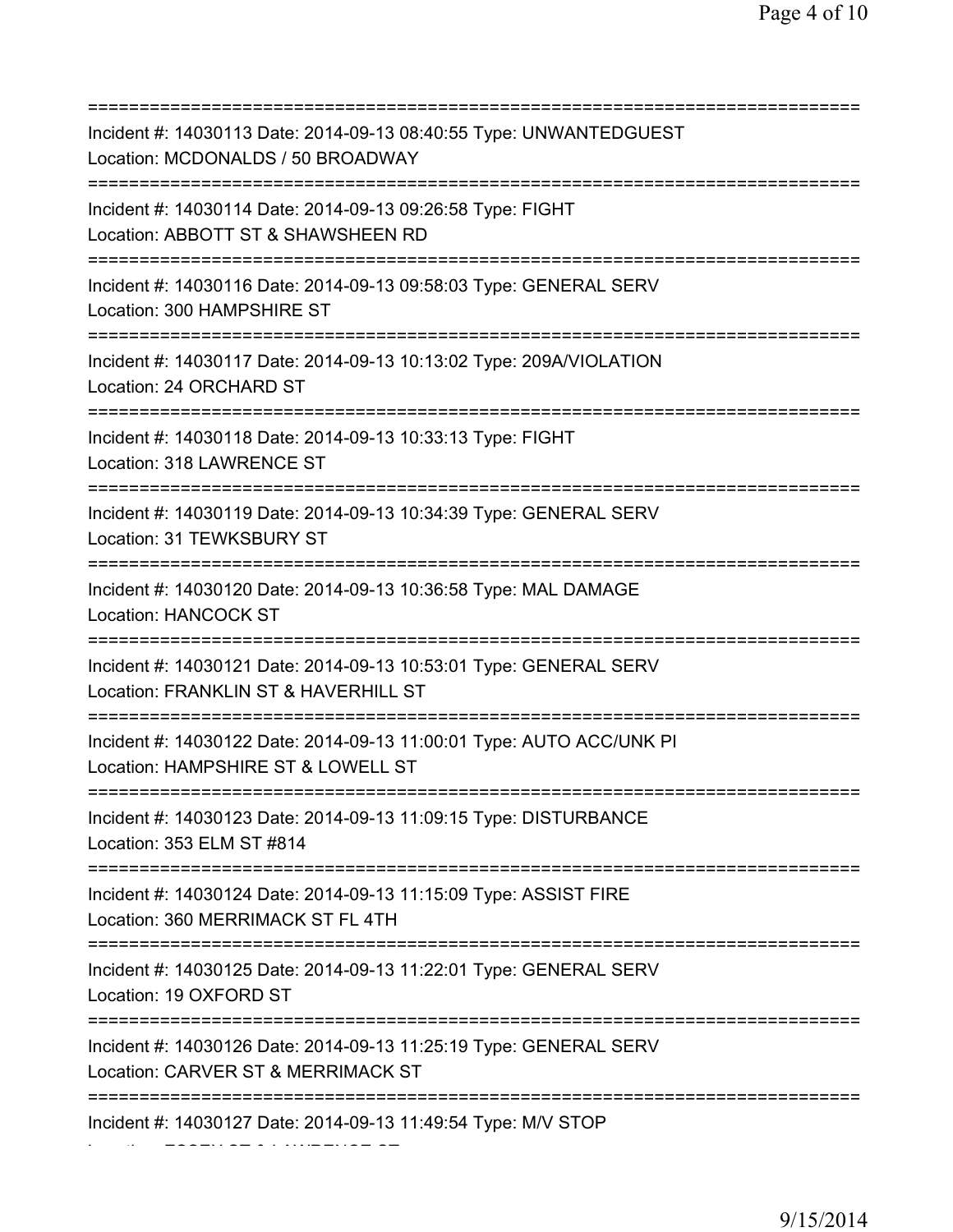=========================================================================== Incident #: 14030113 Date: 2014-09-13 08:40:55 Type: UNWANTEDGUEST Location: MCDONALDS / 50 BROADWAY =========================================================================== Incident #: 14030114 Date: 2014-09-13 09:26:58 Type: FIGHT Location: ABBOTT ST & SHAWSHEEN RD =========================================================================== Incident #: 14030116 Date: 2014-09-13 09:58:03 Type: GENERAL SERV Location: 300 HAMPSHIRE ST =========================================================================== Incident #: 14030117 Date: 2014-09-13 10:13:02 Type: 209A/VIOLATION Location: 24 ORCHARD ST =========================================================================== Incident #: 14030118 Date: 2014-09-13 10:33:13 Type: FIGHT Location: 318 LAWRENCE ST =========================================================================== Incident #: 14030119 Date: 2014-09-13 10:34:39 Type: GENERAL SERV Location: 31 TEWKSBURY ST =========================================================================== Incident #: 14030120 Date: 2014-09-13 10:36:58 Type: MAL DAMAGE Location: HANCOCK ST =========================================================================== Incident #: 14030121 Date: 2014-09-13 10:53:01 Type: GENERAL SERV Location: FRANKLIN ST & HAVERHILL ST =========================================================================== Incident #: 14030122 Date: 2014-09-13 11:00:01 Type: AUTO ACC/UNK PI Location: HAMPSHIRE ST & LOWELL ST =========================================================================== Incident #: 14030123 Date: 2014-09-13 11:09:15 Type: DISTURBANCE Location: 353 ELM ST #814 =========================================================================== Incident #: 14030124 Date: 2014-09-13 11:15:09 Type: ASSIST FIRE Location: 360 MERRIMACK ST FL 4TH =========================================================================== Incident #: 14030125 Date: 2014-09-13 11:22:01 Type: GENERAL SERV Location: 19 OXFORD ST =========================================================================== Incident #: 14030126 Date: 2014-09-13 11:25:19 Type: GENERAL SERV Location: CARVER ST & MERRIMACK ST =========================================================================== Incident #: 14030127 Date: 2014-09-13 11:49:54 Type: M/V STOP

Location: ESSEX ST & LAWRENCE ST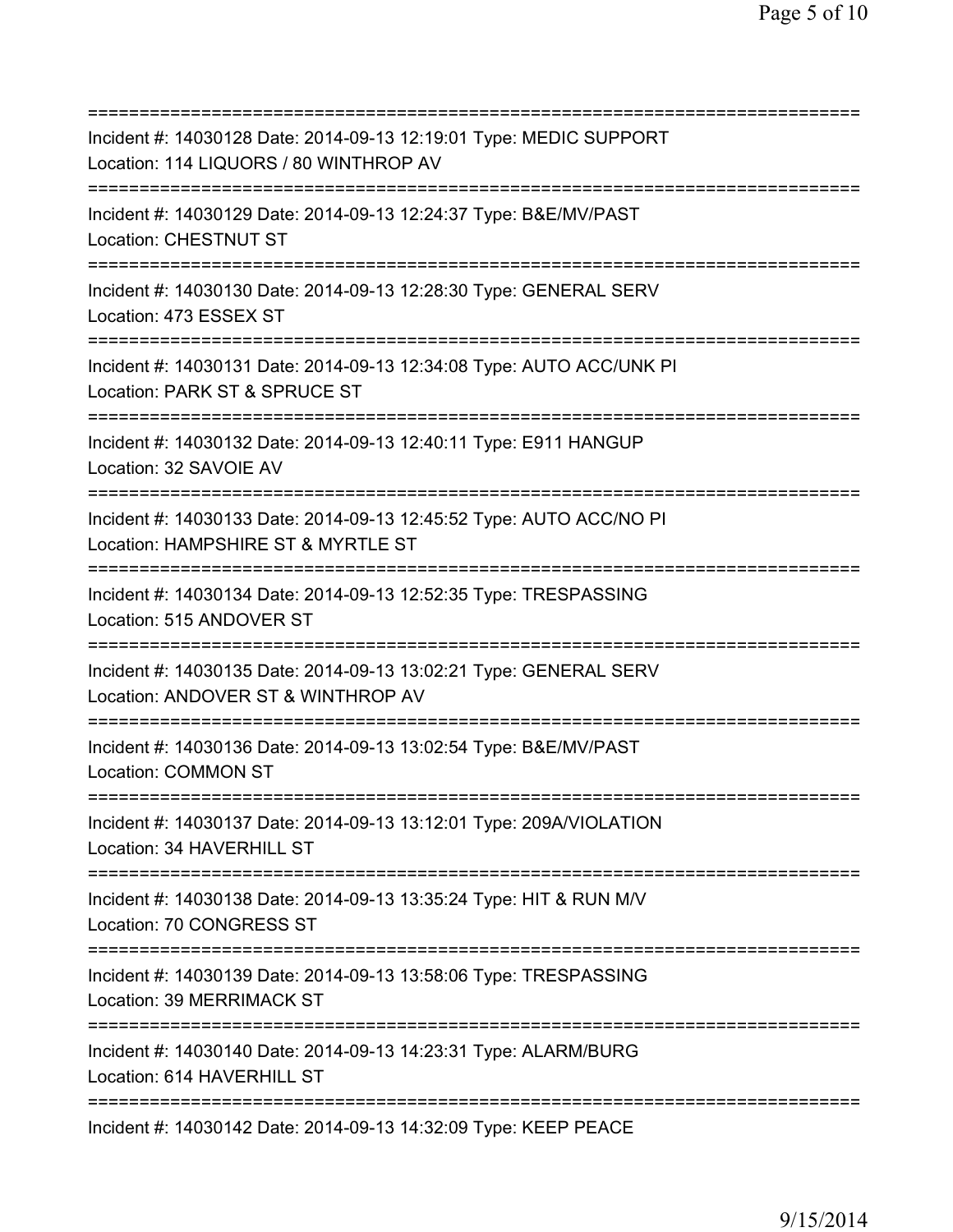=========================================================================== Incident #: 14030128 Date: 2014-09-13 12:19:01 Type: MEDIC SUPPORT Location: 114 LIQUORS / 80 WINTHROP AV =========================================================================== Incident #: 14030129 Date: 2014-09-13 12:24:37 Type: B&E/MV/PAST Location: CHESTNUT ST =========================================================================== Incident #: 14030130 Date: 2014-09-13 12:28:30 Type: GENERAL SERV Location: 473 ESSEX ST =========================================================================== Incident #: 14030131 Date: 2014-09-13 12:34:08 Type: AUTO ACC/UNK PI Location: PARK ST & SPRUCE ST =========================================================================== Incident #: 14030132 Date: 2014-09-13 12:40:11 Type: E911 HANGUP Location: 32 SAVOIE AV =========================================================================== Incident #: 14030133 Date: 2014-09-13 12:45:52 Type: AUTO ACC/NO PI Location: HAMPSHIRE ST & MYRTLE ST =========================================================================== Incident #: 14030134 Date: 2014-09-13 12:52:35 Type: TRESPASSING Location: 515 ANDOVER ST =========================================================================== Incident #: 14030135 Date: 2014-09-13 13:02:21 Type: GENERAL SERV Location: ANDOVER ST & WINTHROP AV =========================================================================== Incident #: 14030136 Date: 2014-09-13 13:02:54 Type: B&E/MV/PAST Location: COMMON ST =========================================================================== Incident #: 14030137 Date: 2014-09-13 13:12:01 Type: 209A/VIOLATION Location: 34 HAVERHILL ST =========================================================================== Incident #: 14030138 Date: 2014-09-13 13:35:24 Type: HIT & RUN M/V Location: 70 CONGRESS ST =========================================================================== Incident #: 14030139 Date: 2014-09-13 13:58:06 Type: TRESPASSING Location: 39 MERRIMACK ST =========================================================================== Incident #: 14030140 Date: 2014-09-13 14:23:31 Type: ALARM/BURG Location: 614 HAVERHILL ST =========================================================================== Incident #: 14030142 Date: 2014-09-13 14:32:09 Type: KEEP PEACE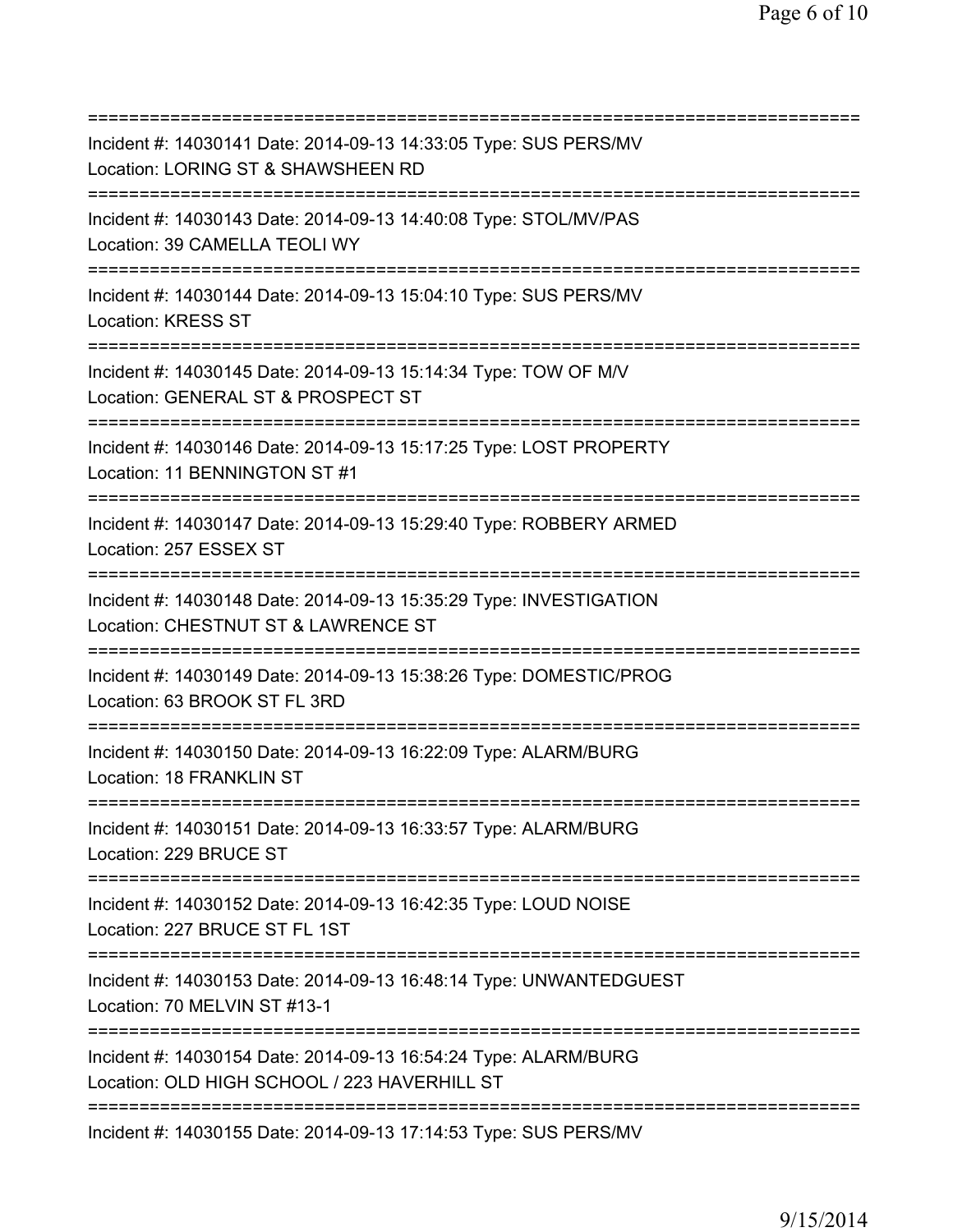=========================================================================== Incident #: 14030141 Date: 2014-09-13 14:33:05 Type: SUS PERS/MV Location: LORING ST & SHAWSHEEN RD =========================================================================== Incident #: 14030143 Date: 2014-09-13 14:40:08 Type: STOL/MV/PAS Location: 39 CAMELLA TEOLI WY =========================================================================== Incident #: 14030144 Date: 2014-09-13 15:04:10 Type: SUS PERS/MV Location: KRESS ST =========================================================================== Incident #: 14030145 Date: 2014-09-13 15:14:34 Type: TOW OF M/V Location: GENERAL ST & PROSPECT ST =========================================================================== Incident #: 14030146 Date: 2014-09-13 15:17:25 Type: LOST PROPERTY Location: 11 BENNINGTON ST #1 =========================================================================== Incident #: 14030147 Date: 2014-09-13 15:29:40 Type: ROBBERY ARMED Location: 257 ESSEX ST =========================================================================== Incident #: 14030148 Date: 2014-09-13 15:35:29 Type: INVESTIGATION Location: CHESTNUT ST & LAWRENCE ST =========================================================================== Incident #: 14030149 Date: 2014-09-13 15:38:26 Type: DOMESTIC/PROG Location: 63 BROOK ST FL 3RD =========================================================================== Incident #: 14030150 Date: 2014-09-13 16:22:09 Type: ALARM/BURG Location: 18 FRANKLIN ST =========================================================================== Incident #: 14030151 Date: 2014-09-13 16:33:57 Type: ALARM/BURG Location: 229 BRUCE ST =========================================================================== Incident #: 14030152 Date: 2014-09-13 16:42:35 Type: LOUD NOISE Location: 227 BRUCE ST FL 1ST =========================================================================== Incident #: 14030153 Date: 2014-09-13 16:48:14 Type: UNWANTEDGUEST Location: 70 MELVIN ST #13-1 =========================================================================== Incident #: 14030154 Date: 2014-09-13 16:54:24 Type: ALARM/BURG Location: OLD HIGH SCHOOL / 223 HAVERHILL ST =========================================================================== Incident #: 14030155 Date: 2014-09-13 17:14:53 Type: SUS PERS/MV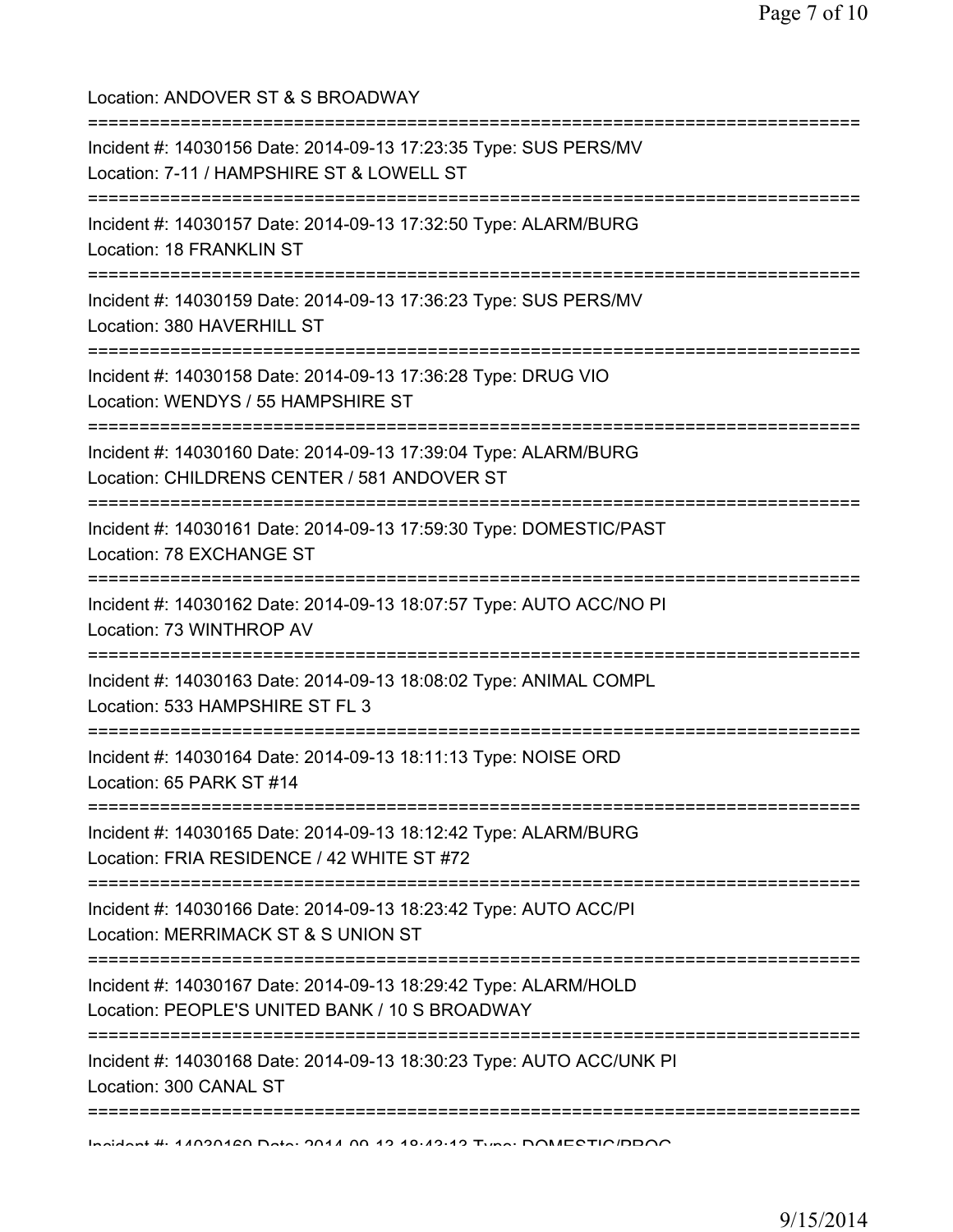Location: ANDOVER ST & S BROADWAY =========================================================================== Incident #: 14030156 Date: 2014-09-13 17:23:35 Type: SUS PERS/MV Location: 7-11 / HAMPSHIRE ST & LOWELL ST =========================================================================== Incident #: 14030157 Date: 2014-09-13 17:32:50 Type: ALARM/BURG Location: 18 FRANKLIN ST =========================================================================== Incident #: 14030159 Date: 2014-09-13 17:36:23 Type: SUS PERS/MV Location: 380 HAVERHILL ST =========================================================================== Incident #: 14030158 Date: 2014-09-13 17:36:28 Type: DRUG VIO Location: WENDYS / 55 HAMPSHIRE ST =========================================================================== Incident #: 14030160 Date: 2014-09-13 17:39:04 Type: ALARM/BURG Location: CHILDRENS CENTER / 581 ANDOVER ST =========================================================================== Incident #: 14030161 Date: 2014-09-13 17:59:30 Type: DOMESTIC/PAST Location: 78 EXCHANGE ST =========================================================================== Incident #: 14030162 Date: 2014-09-13 18:07:57 Type: AUTO ACC/NO PI Location: 73 WINTHROP AV =========================================================================== Incident #: 14030163 Date: 2014-09-13 18:08:02 Type: ANIMAL COMPL Location: 533 HAMPSHIRE ST FL 3 =========================================================================== Incident #: 14030164 Date: 2014-09-13 18:11:13 Type: NOISE ORD Location: 65 PARK ST #14 =========================================================================== Incident #: 14030165 Date: 2014-09-13 18:12:42 Type: ALARM/BURG Location: FRIA RESIDENCE / 42 WHITE ST #72 =========================================================================== Incident #: 14030166 Date: 2014-09-13 18:23:42 Type: AUTO ACC/PI Location: MERRIMACK ST & S UNION ST =========================================================================== Incident #: 14030167 Date: 2014-09-13 18:29:42 Type: ALARM/HOLD Location: PEOPLE'S UNITED BANK / 10 S BROADWAY =========================================================================== Incident #: 14030168 Date: 2014-09-13 18:30:23 Type: AUTO ACC/UNK PI Location: 300 CANAL ST =========================================================================== Incident #: 14030169 Date: 2014 09 13 18:43:13 Type: DOMESTIC/PROG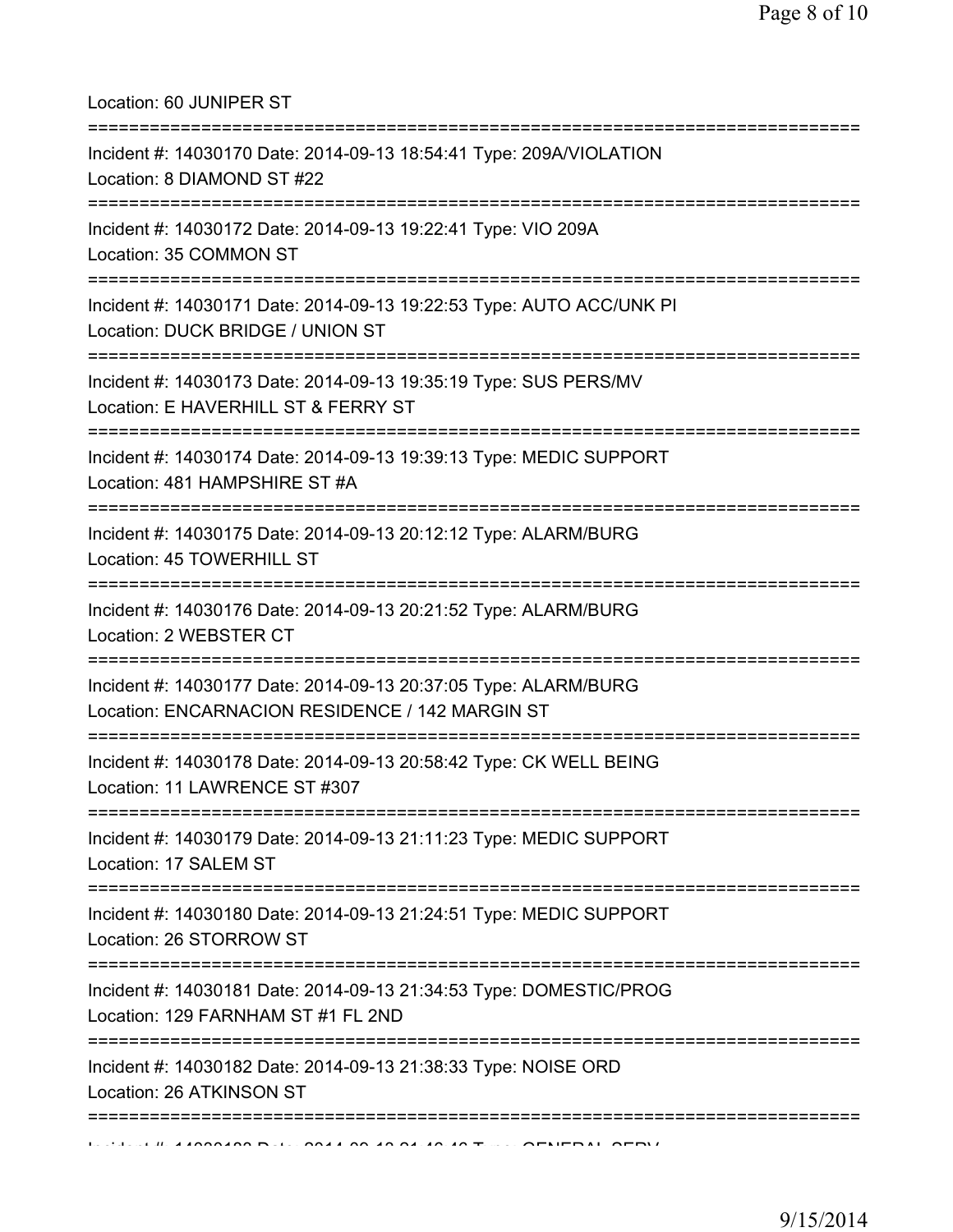Location: 60 JUNIPER ST

| Incident #: 14030170 Date: 2014-09-13 18:54:41 Type: 209A/VIOLATION<br>Location: 8 DIAMOND ST #22                               |
|---------------------------------------------------------------------------------------------------------------------------------|
| Incident #: 14030172 Date: 2014-09-13 19:22:41 Type: VIO 209A<br>Location: 35 COMMON ST                                         |
| Incident #: 14030171 Date: 2014-09-13 19:22:53 Type: AUTO ACC/UNK PI<br>Location: DUCK BRIDGE / UNION ST                        |
| Incident #: 14030173 Date: 2014-09-13 19:35:19 Type: SUS PERS/MV<br>Location: E HAVERHILL ST & FERRY ST                         |
| Incident #: 14030174 Date: 2014-09-13 19:39:13 Type: MEDIC SUPPORT<br>Location: 481 HAMPSHIRE ST #A                             |
| Incident #: 14030175 Date: 2014-09-13 20:12:12 Type: ALARM/BURG<br>Location: 45 TOWERHILL ST                                    |
| Incident #: 14030176 Date: 2014-09-13 20:21:52 Type: ALARM/BURG<br>Location: 2 WEBSTER CT                                       |
| Incident #: 14030177 Date: 2014-09-13 20:37:05 Type: ALARM/BURG<br>Location: ENCARNACION RESIDENCE / 142 MARGIN ST              |
| Incident #: 14030178 Date: 2014-09-13 20:58:42 Type: CK WELL BEING<br>Location: 11 LAWRENCE ST #307                             |
| Incident #: 14030179 Date: 2014-09-13 21:11:23 Type: MEDIC SUPPORT<br>Location: 17 SALEM ST                                     |
| Incident #: 14030180 Date: 2014-09-13 21:24:51 Type: MEDIC SUPPORT<br>Location: 26 STORROW ST<br>:============================= |
| Incident #: 14030181 Date: 2014-09-13 21:34:53 Type: DOMESTIC/PROG<br>Location: 129 FARNHAM ST #1 FL 2ND                        |
| Incident #: 14030182 Date: 2014-09-13 21:38:33 Type: NOISE ORD<br>Location: 26 ATKINSON ST<br>========                          |
|                                                                                                                                 |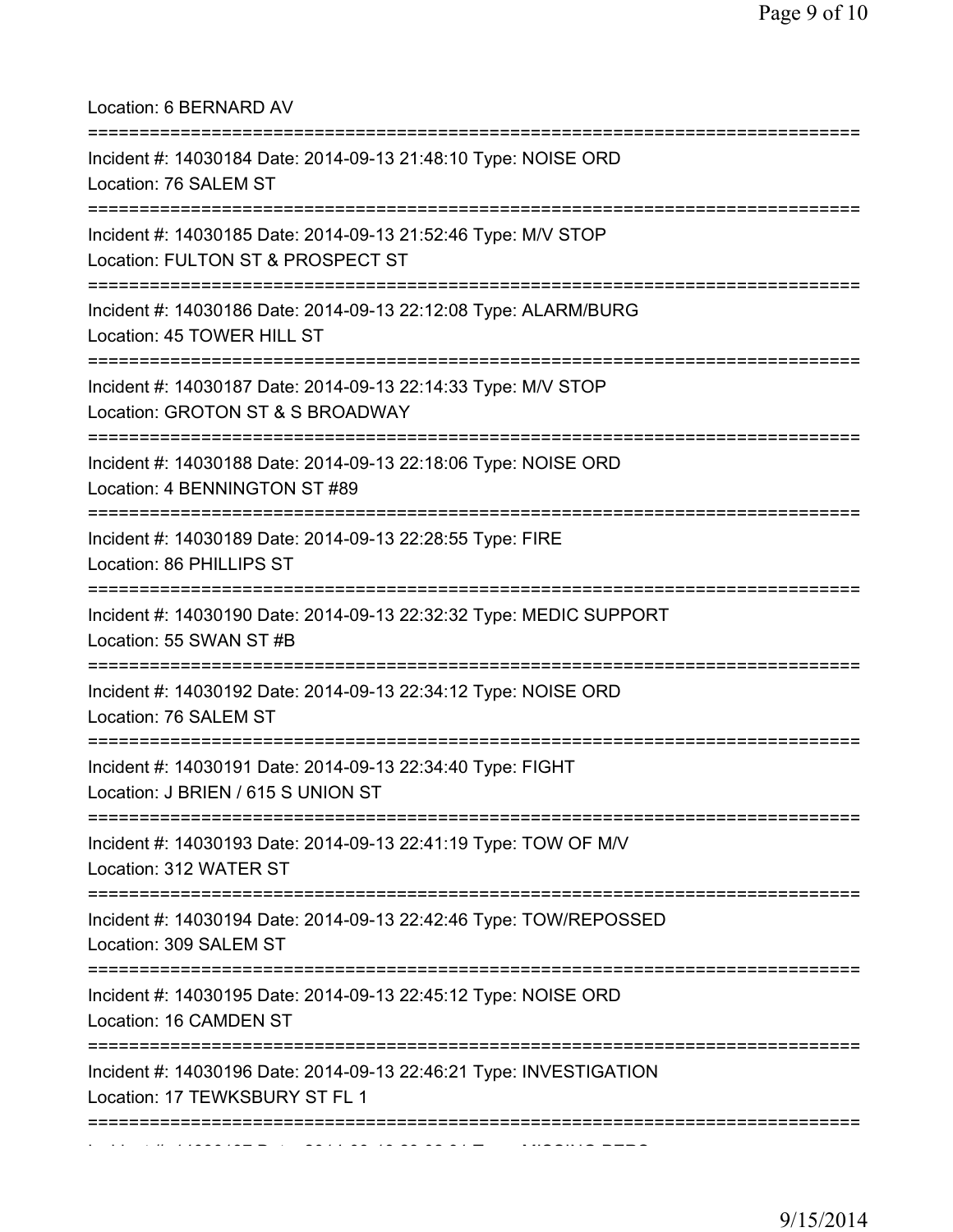| Location: 6 BERNARD AV                                                                                                         |
|--------------------------------------------------------------------------------------------------------------------------------|
| Incident #: 14030184 Date: 2014-09-13 21:48:10 Type: NOISE ORD<br>Location: 76 SALEM ST<br>=================================== |
| Incident #: 14030185 Date: 2014-09-13 21:52:46 Type: M/V STOP<br>Location: FULTON ST & PROSPECT ST                             |
| Incident #: 14030186 Date: 2014-09-13 22:12:08 Type: ALARM/BURG<br>Location: 45 TOWER HILL ST                                  |
| Incident #: 14030187 Date: 2014-09-13 22:14:33 Type: M/V STOP<br>Location: GROTON ST & S BROADWAY                              |
| Incident #: 14030188 Date: 2014-09-13 22:18:06 Type: NOISE ORD<br>Location: 4 BENNINGTON ST #89                                |
| Incident #: 14030189 Date: 2014-09-13 22:28:55 Type: FIRE<br>Location: 86 PHILLIPS ST                                          |
| Incident #: 14030190 Date: 2014-09-13 22:32:32 Type: MEDIC SUPPORT<br>Location: 55 SWAN ST #B                                  |
| Incident #: 14030192 Date: 2014-09-13 22:34:12 Type: NOISE ORD<br>Location: 76 SALEM ST                                        |
| Incident #: 14030191 Date: 2014-09-13 22:34:40 Type: FIGHT<br>Location: J BRIEN / 615 S UNION ST                               |
| Incident #: 14030193 Date: 2014-09-13 22:41:19 Type: TOW OF M/V<br>Location: 312 WATER ST                                      |
| Incident #: 14030194 Date: 2014-09-13 22:42:46 Type: TOW/REPOSSED<br>Location: 309 SALEM ST                                    |
| Incident #: 14030195 Date: 2014-09-13 22:45:12 Type: NOISE ORD<br>Location: 16 CAMDEN ST                                       |
| Incident #: 14030196 Date: 2014-09-13 22:46:21 Type: INVESTIGATION<br>Location: 17 TEWKSBURY ST FL 1                           |
|                                                                                                                                |